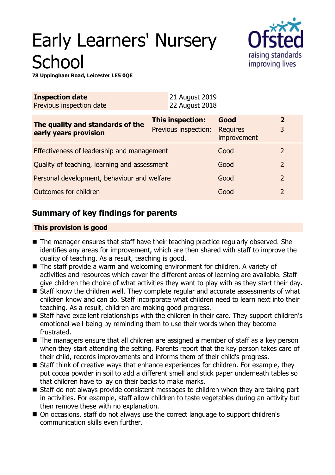# Early Learners' Nursery **School**



**78 Uppingham Road, Leicester LE5 0QE**

| <b>Inspection date</b><br>Previous inspection date        | 21 August 2019<br>22 August 2018         |                                        |                     |
|-----------------------------------------------------------|------------------------------------------|----------------------------------------|---------------------|
| The quality and standards of the<br>early years provision | This inspection:<br>Previous inspection: | Good<br><b>Requires</b><br>improvement | $\overline{2}$<br>3 |
| Effectiveness of leadership and management                |                                          | Good                                   | 2                   |
| Quality of teaching, learning and assessment              |                                          | Good                                   | $\overline{2}$      |
| Personal development, behaviour and welfare               |                                          | Good                                   | $\overline{2}$      |
| Outcomes for children                                     |                                          | Good                                   | 2                   |

# **Summary of key findings for parents**

## **This provision is good**

- The manager ensures that staff have their teaching practice regularly observed. She identifies any areas for improvement, which are then shared with staff to improve the quality of teaching. As a result, teaching is good.
- The staff provide a warm and welcoming environment for children. A variety of activities and resources which cover the different areas of learning are available. Staff give children the choice of what activities they want to play with as they start their day.
- Staff know the children well. They complete regular and accurate assessments of what children know and can do. Staff incorporate what children need to learn next into their teaching. As a result, children are making good progress.
- Staff have excellent relationships with the children in their care. They support children's emotional well-being by reminding them to use their words when they become frustrated.
- $\blacksquare$  The managers ensure that all children are assigned a member of staff as a key person when they start attending the setting. Parents report that the key person takes care of their child, records improvements and informs them of their child's progress.
- $\blacksquare$  Staff think of creative ways that enhance experiences for children. For example, they put cocoa powder in soil to add a different smell and stick paper underneath tables so that children have to lay on their backs to make marks.
- $\blacksquare$  Staff do not always provide consistent messages to children when they are taking part in activities. For example, staff allow children to taste vegetables during an activity but then remove these with no explanation.
- On occasions, staff do not always use the correct language to support children's communication skills even further.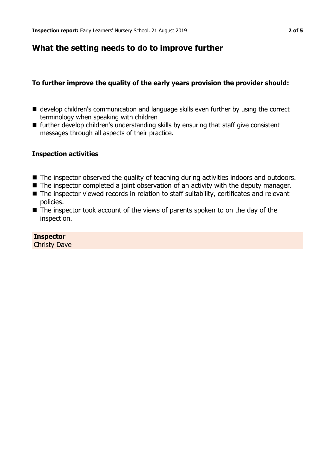## **What the setting needs to do to improve further**

## **To further improve the quality of the early years provision the provider should:**

- develop children's communication and language skills even further by using the correct terminology when speaking with children
- $\blacksquare$  further develop children's understanding skills by ensuring that staff give consistent messages through all aspects of their practice.

#### **Inspection activities**

- The inspector observed the quality of teaching during activities indoors and outdoors.
- $\blacksquare$  The inspector completed a joint observation of an activity with the deputy manager.
- The inspector viewed records in relation to staff suitability, certificates and relevant policies.
- $\blacksquare$  The inspector took account of the views of parents spoken to on the day of the inspection.

**Inspector** Christy Dave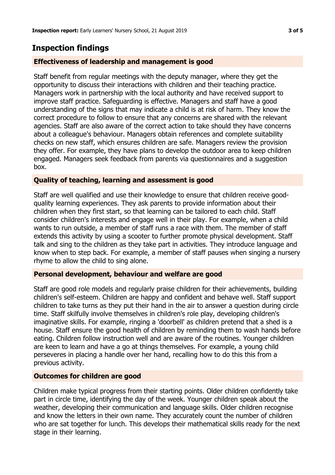# **Inspection findings**

## **Effectiveness of leadership and management is good**

Staff benefit from regular meetings with the deputy manager, where they get the opportunity to discuss their interactions with children and their teaching practice. Managers work in partnership with the local authority and have received support to improve staff practice. Safeguarding is effective. Managers and staff have a good understanding of the signs that may indicate a child is at risk of harm. They know the correct procedure to follow to ensure that any concerns are shared with the relevant agencies. Staff are also aware of the correct action to take should they have concerns about a colleague's behaviour. Managers obtain references and complete suitability checks on new staff, which ensures children are safe. Managers review the provision they offer. For example, they have plans to develop the outdoor area to keep children engaged. Managers seek feedback from parents via questionnaires and a suggestion box.

## **Quality of teaching, learning and assessment is good**

Staff are well qualified and use their knowledge to ensure that children receive goodquality learning experiences. They ask parents to provide information about their children when they first start, so that learning can be tailored to each child. Staff consider children's interests and engage well in their play. For example, when a child wants to run outside, a member of staff runs a race with them. The member of staff extends this activity by using a scooter to further promote physical development. Staff talk and sing to the children as they take part in activities. They introduce language and know when to step back. For example, a member of staff pauses when singing a nursery rhyme to allow the child to sing alone.

## **Personal development, behaviour and welfare are good**

Staff are good role models and regularly praise children for their achievements, building children's self-esteem. Children are happy and confident and behave well. Staff support children to take turns as they put their hand in the air to answer a question during circle time. Staff skilfully involve themselves in children's role play, developing children's imaginative skills. For example, ringing a 'doorbell' as children pretend that a shed is a house. Staff ensure the good health of children by reminding them to wash hands before eating. Children follow instruction well and are aware of the routines. Younger children are keen to learn and have a go at things themselves. For example, a young child perseveres in placing a handle over her hand, recalling how to do this this from a previous activity.

## **Outcomes for children are good**

Children make typical progress from their starting points. Older children confidently take part in circle time, identifying the day of the week. Younger children speak about the weather, developing their communication and language skills. Older children recognise and know the letters in their own name. They accurately count the number of children who are sat together for lunch. This develops their mathematical skills ready for the next stage in their learning.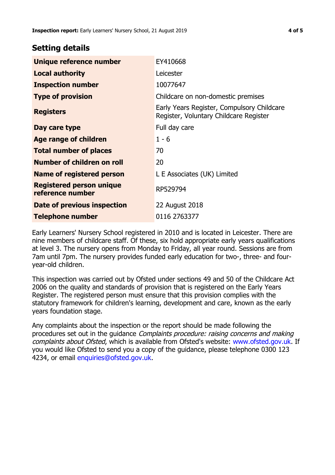## **Setting details**

| Unique reference number                      | EY410668                                                                             |  |
|----------------------------------------------|--------------------------------------------------------------------------------------|--|
| <b>Local authority</b>                       | Leicester                                                                            |  |
| <b>Inspection number</b>                     | 10077647                                                                             |  |
| <b>Type of provision</b>                     | Childcare on non-domestic premises                                                   |  |
| <b>Registers</b>                             | Early Years Register, Compulsory Childcare<br>Register, Voluntary Childcare Register |  |
| Day care type                                | Full day care                                                                        |  |
| Age range of children                        | $1 - 6$                                                                              |  |
| <b>Total number of places</b>                | 70                                                                                   |  |
| Number of children on roll                   | 20                                                                                   |  |
| Name of registered person                    | L E Associates (UK) Limited                                                          |  |
| Registered person unique<br>reference number | RP529794                                                                             |  |
| <b>Date of previous inspection</b>           | 22 August 2018                                                                       |  |
| Telephone number                             | 0116 2763377                                                                         |  |

Early Learners' Nursery School registered in 2010 and is located in Leicester. There are nine members of childcare staff. Of these, six hold appropriate early years qualifications at level 3. The nursery opens from Monday to Friday, all year round. Sessions are from 7am until 7pm. The nursery provides funded early education for two-, three- and fouryear-old children.

This inspection was carried out by Ofsted under sections 49 and 50 of the Childcare Act 2006 on the quality and standards of provision that is registered on the Early Years Register. The registered person must ensure that this provision complies with the statutory framework for children's learning, development and care, known as the early years foundation stage.

Any complaints about the inspection or the report should be made following the procedures set out in the guidance Complaints procedure: raising concerns and making complaints about Ofsted, which is available from Ofsted's website: www.ofsted.gov.uk. If you would like Ofsted to send you a copy of the guidance, please telephone 0300 123 4234, or email [enquiries@ofsted.gov.uk.](mailto:enquiries@ofsted.gov.uk)